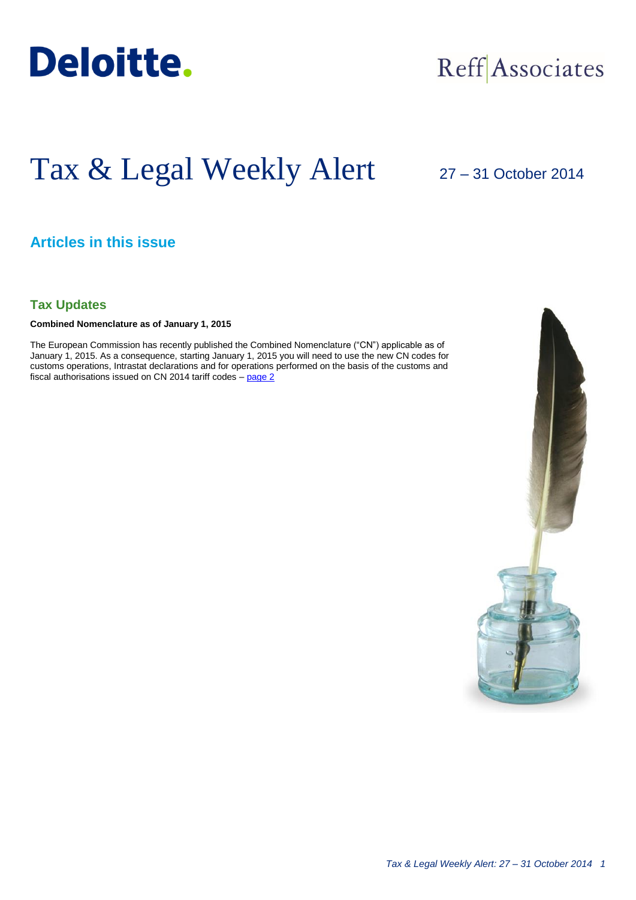

## Reff Associates

# Tax & Legal Weekly Alert

27 – 31 October 2014

### **Articles in this issue**

**Tax Updates**

**Combined Nomenclature as of January 1, 2015**

The European Commission has recently published the Combined Nomenclature ("CN") applicable as of January 1, 2015. As a consequence, starting January 1, 2015 you will need to use the new CN codes for customs operations, Intrastat declarations and for operations performed on the basis of the customs and fiscal authorisations issued on CN 2014 tariff codes  $-$  page  $2$ 

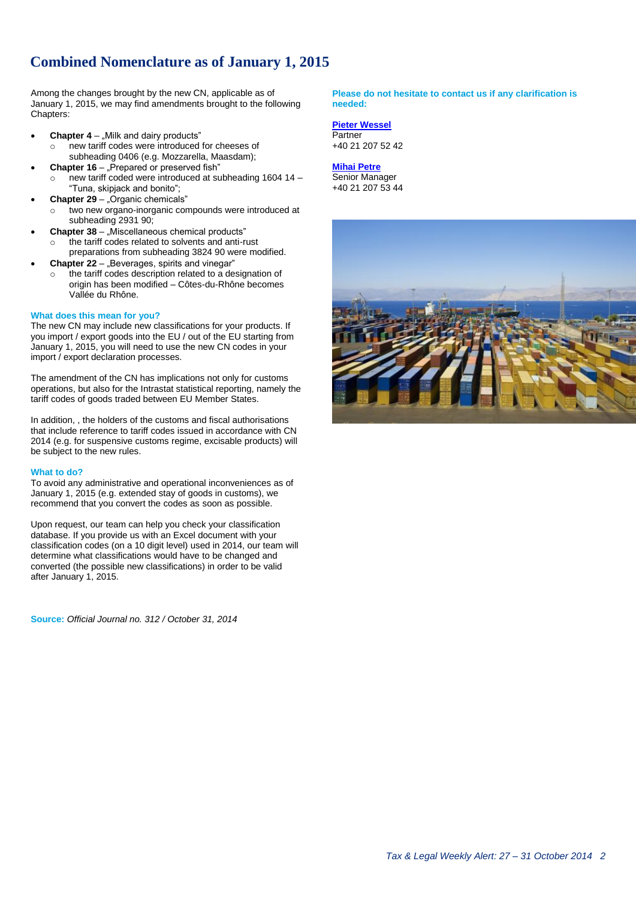## <span id="page-1-0"></span>**Combined Nomenclature as of January 1, 2015**

Among the changes brought by the new CN, applicable as of January 1, 2015, we may find amendments brought to the following Chapters:

- **Chapter 4** "Milk and dairy products" o new tariff codes were introduced for cheeses of subheading 0406 (e.g. Mozzarella, Maasdam);
- **Chapter 16** "Prepared or preserved fish" new tariff coded were introduced at subheading  $1604 14 -$ "Tuna, skipjack and bonito";
- **Chapter 29** "Organic chemicals"
	- two new organo-inorganic compounds were introduced at subheading 2931 90;
- **Chapter 38** "Miscellaneous chemical products"
	- the tariff codes related to solvents and anti-rust preparations from subheading 3824 90 were modified.
- **Chapter 22** "Beverages, spirits and vinegar"
	- the tariff codes description related to a designation of origin has been modified – Côtes-du-Rhône becomes Vallée du Rhône.

#### **What does this mean for you?**

The new CN may include new classifications for your products. If you import / export goods into the EU / out of the EU starting from January 1, 2015, you will need to use the new CN codes in your import / export declaration processes.

The amendment of the CN has implications not only for customs operations, but also for the Intrastat statistical reporting, namely the tariff codes of goods traded between EU Member States.

In addition, , the holders of the customs and fiscal authorisations that include reference to tariff codes issued in accordance with CN 2014 (e.g. for suspensive customs regime, excisable products) will be subject to the new rules.

#### **What to do?**

To avoid any administrative and operational inconveniences as of January 1, 2015 (e.g. extended stay of goods in customs), we recommend that you convert the codes as soon as possible.

Upon request, our team can help you check your classification database. If you provide us with an Excel document with your classification codes (on a 10 digit level) used in 2014, our team will determine what classifications would have to be changed and converted (the possible new classifications) in order to be valid after January 1, 2015.

**Source:** *Official Journal no. 312 / October 31, 2014*

#### **Please do not hesitate to contact us if any clarification is needed:**

#### **[Pieter Wessel](mailto:pwessel@deloittece.com)**

**Partner** +40 21 207 52 42

#### **[Mihai Petre](mailto:mipetre@deloittece.com)**

Senior Manager +40 21 207 53 44